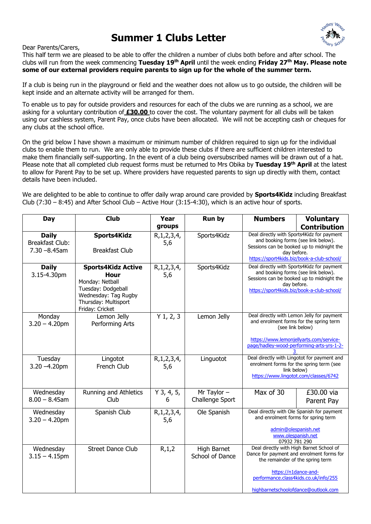## **Summer 1 Clubs Letter**



Dear Parents/Carers,

This half term we are pleased to be able to offer the children a number of clubs both before and after school. The clubs will run from the week commencing **Tuesday 19th April** until the week ending **Friday 27th May. Please note some of our external providers require parents to sign up for the whole of the summer term.**

If a club is being run in the playground or field and the weather does not allow us to go outside, the children will be kept inside and an alternate activity will be arranged for them.

To enable us to pay for outside providers and resources for each of the clubs we are running as a school, we are asking for a voluntary contribution of **£30.00** to cover the cost. The voluntary payment for all clubs will be taken using our cashless system, Parent Pay, once clubs have been allocated. We will not be accepting cash or cheques for any clubs at the school office.

On the grid below I have shown a maximum or minimum number of children required to sign up for the individual clubs to enable them to run. We are only able to provide these clubs if there are sufficient children interested to make them financially self-supporting. In the event of a club being oversubscribed names will be drawn out of a hat. Please note that all completed club request forms must be returned to Mrs Obika by **Tuesday 19th April** at the latest to allow for Parent Pay to be set up. Where providers have requested parents to sign up directly with them, contact details have been included.

We are delighted to be able to continue to offer daily wrap around care provided by **Sports4Kidz** including Breakfast Club (7:30 – 8:45) and After School Club – Active Hour (3:15-4:30), which is an active hour of sports.

| Day                                                 | <b>Club</b>                                                                                                                                   | Year                  | Run by                                | <b>Numbers</b>                                                                                                                                                                                                                    | <b>Voluntary</b>         |
|-----------------------------------------------------|-----------------------------------------------------------------------------------------------------------------------------------------------|-----------------------|---------------------------------------|-----------------------------------------------------------------------------------------------------------------------------------------------------------------------------------------------------------------------------------|--------------------------|
|                                                     |                                                                                                                                               | groups                |                                       |                                                                                                                                                                                                                                   | <b>Contribution</b>      |
| <b>Daily</b><br>Breakfast Club:<br>$7.30 - 8.45$ am | Sports4Kidz<br><b>Breakfast Club</b>                                                                                                          | R, 1, 2, 3, 4,<br>5,6 | Sports4Kidz                           | Deal directly with Sports4Kidz for payment<br>and booking forms (see link below).<br>Sessions can be booked up to midnight the<br>day before.<br>https://sport4kids.biz/book-a-club-school/                                       |                          |
| <b>Daily</b><br>3.15-4.30pm                         | <b>Sports4Kidz Active</b><br>Hour<br>Monday: Netball<br>Tuesday: Dodgeball<br>Wednesday: Tag Rugby<br>Thursday: Multisport<br>Friday: Cricket | R, 1, 2, 3, 4,<br>5,6 | Sports4Kidz                           | Deal directly with Sports4Kidz for payment<br>and booking forms (see link below).<br>Sessions can be booked up to midnight the<br>day before.<br>https://sport4kids.biz/book-a-club-school/                                       |                          |
| Monday<br>$3.20 - 4.20$ pm                          | Lemon Jelly<br>Performing Arts                                                                                                                | $Y$ 1, 2, 3           | Lemon Jelly                           | Deal directly with Lemon Jelly for payment<br>and enrolment forms for the spring term<br>(see link below)<br>https://www.lemonjellyarts.com/service-<br>page/hadley-wood-performing-arts-yrs-1-2-                                 |                          |
| Tuesday<br>$3.20 - 4.20$ pm                         | Lingotot<br>French Club                                                                                                                       | R, 1, 2, 3, 4,<br>5,6 | Linguotot                             | Deal directly with Lingotot for payment and<br>enrolment forms for the spring term (see<br>link below)<br>https://www.lingotot.com/classes/6742                                                                                   |                          |
| Wednesday<br>$8.00 - 8.45$ am                       | Running and Athletics<br>Club                                                                                                                 | $Y$ 3, 4, 5,<br>6     | Mr Taylor $-$<br>Challenge Sport      | Max of $30$                                                                                                                                                                                                                       | £30.00 via<br>Parent Pay |
| Wednesday<br>$3.20 - 4.20$ pm                       | Spanish Club                                                                                                                                  | R, 1, 2, 3, 4,<br>5,6 | Ole Spanish                           | Deal directly with Ole Spanish for payment<br>and enrolment forms for spring term<br>admin@olespanish.net<br>www.olespanish.net<br>07932 781 290                                                                                  |                          |
| Wednesday<br>$3.15 - 4.15$ pm                       | <b>Street Dance Club</b>                                                                                                                      | R, 1, 2               | <b>High Barnet</b><br>School of Dance | Deal directly with High Barnet School of<br>Dance for payment and enrolment forms for<br>the remainder of the spring term<br>https://n1dance-and-<br>performance.class4kids.co.uk/info/255<br>highbarnetschoolofdance@outlook.com |                          |